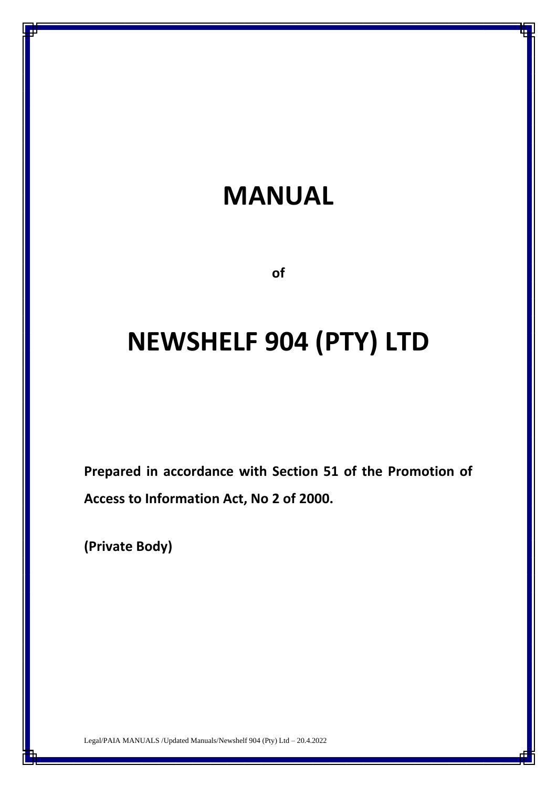# **MANUAL**

**of**

# **NEWSHELF 904 (PTY) LTD**

**Prepared in accordance with Section 51 of the Promotion of Access to Information Act, No 2 of 2000.**

**(Private Body)**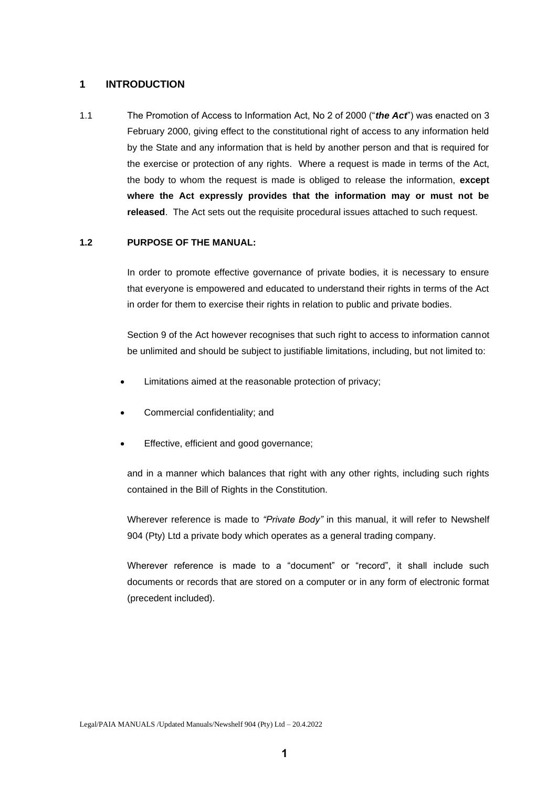## **1 INTRODUCTION**

1.1 The Promotion of Access to Information Act, No 2 of 2000 ("*the Act*") was enacted on 3 February 2000, giving effect to the constitutional right of access to any information held by the State and any information that is held by another person and that is required for the exercise or protection of any rights. Where a request is made in terms of the Act, the body to whom the request is made is obliged to release the information, **except where the Act expressly provides that the information may or must not be released**. The Act sets out the requisite procedural issues attached to such request.

## **1.2 PURPOSE OF THE MANUAL:**

In order to promote effective governance of private bodies, it is necessary to ensure that everyone is empowered and educated to understand their rights in terms of the Act in order for them to exercise their rights in relation to public and private bodies.

Section 9 of the Act however recognises that such right to access to information cannot be unlimited and should be subject to justifiable limitations, including, but not limited to:

- Limitations aimed at the reasonable protection of privacy;
- Commercial confidentiality; and
- Effective, efficient and good governance;

and in a manner which balances that right with any other rights, including such rights contained in the Bill of Rights in the Constitution.

Wherever reference is made to *"Private Body"* in this manual, it will refer to Newshelf 904 (Pty) Ltd a private body which operates as a general trading company.

Wherever reference is made to a "document" or "record", it shall include such documents or records that are stored on a computer or in any form of electronic format (precedent included).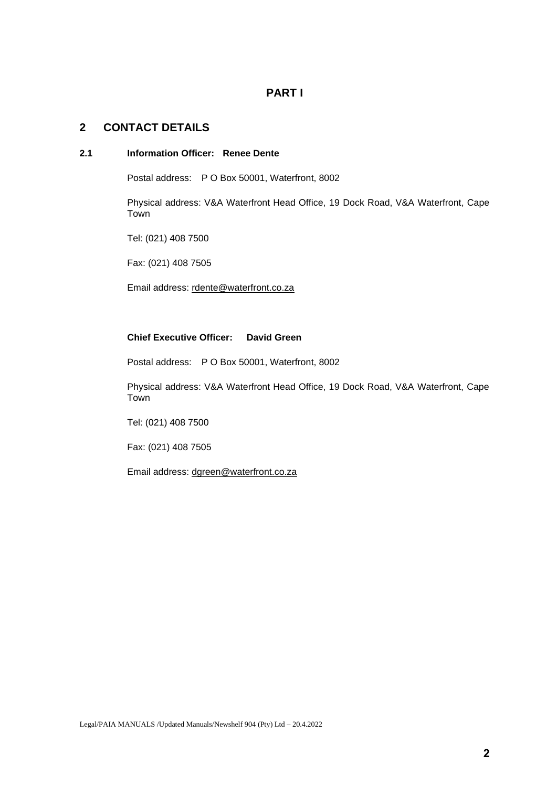# **PART I**

## **2 CONTACT DETAILS**

#### **2.1 Information Officer: Renee Dente**

Postal address: P O Box 50001, Waterfront, 8002

Physical address: V&A Waterfront Head Office, 19 Dock Road, V&A Waterfront, Cape Town

Tel: (021) 408 7500

Fax: (021) 408 7505

Email address: [rdente@waterfront.co.za](mailto:rdente@waterfront.co.za)

## **Chief Executive Officer: David Green**

Postal address: P O Box 50001, Waterfront, 8002

Physical address: V&A Waterfront Head Office, 19 Dock Road, V&A Waterfront, Cape Town

Tel: (021) 408 7500

Fax: (021) 408 7505

Email address: [dgreen@waterfront.co.za](mailto:dgreen@waterfront.co.za)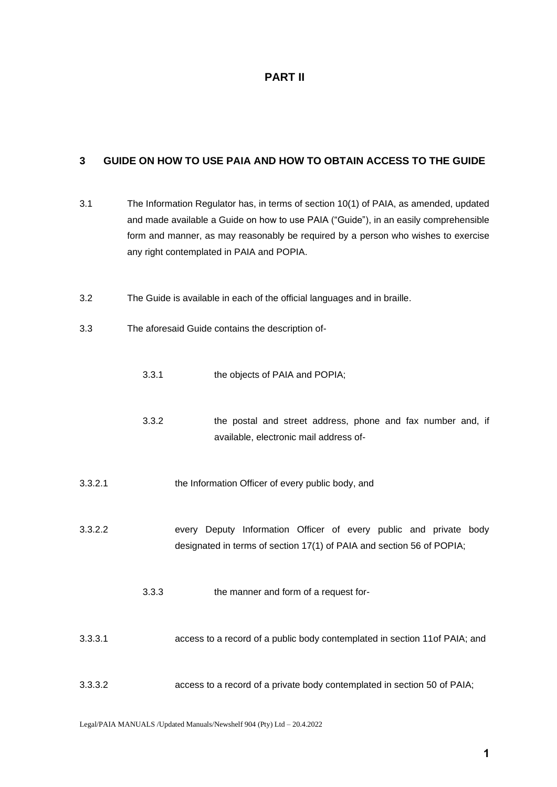# **PART II**

# **3 GUIDE ON HOW TO USE PAIA AND HOW TO OBTAIN ACCESS TO THE GUIDE**

| 3.1     | The Information Regulator has, in terms of section 10(1) of PAIA, as amended, updated<br>and made available a Guide on how to use PAIA ("Guide"), in an easily comprehensible<br>form and manner, as may reasonably be required by a person who wishes to exercise<br>any right contemplated in PAIA and POPIA. |                                                                                                                                            |  |  |  |  |  |  |
|---------|-----------------------------------------------------------------------------------------------------------------------------------------------------------------------------------------------------------------------------------------------------------------------------------------------------------------|--------------------------------------------------------------------------------------------------------------------------------------------|--|--|--|--|--|--|
| 3.2     |                                                                                                                                                                                                                                                                                                                 | The Guide is available in each of the official languages and in braille.                                                                   |  |  |  |  |  |  |
| 3.3     |                                                                                                                                                                                                                                                                                                                 | The aforesaid Guide contains the description of-                                                                                           |  |  |  |  |  |  |
|         | 3.3.1                                                                                                                                                                                                                                                                                                           | the objects of PAIA and POPIA;                                                                                                             |  |  |  |  |  |  |
|         | 3.3.2                                                                                                                                                                                                                                                                                                           | the postal and street address, phone and fax number and, if<br>available, electronic mail address of-                                      |  |  |  |  |  |  |
| 3.3.2.1 |                                                                                                                                                                                                                                                                                                                 | the Information Officer of every public body, and                                                                                          |  |  |  |  |  |  |
| 3.3.2.2 |                                                                                                                                                                                                                                                                                                                 | every Deputy Information Officer of every public and private body<br>designated in terms of section 17(1) of PAIA and section 56 of POPIA; |  |  |  |  |  |  |
|         | 3.3.3                                                                                                                                                                                                                                                                                                           | the manner and form of a request for-                                                                                                      |  |  |  |  |  |  |
| 3.3.3.1 |                                                                                                                                                                                                                                                                                                                 | access to a record of a public body contemplated in section 11 of PAIA; and                                                                |  |  |  |  |  |  |
| 3.3.3.2 |                                                                                                                                                                                                                                                                                                                 | access to a record of a private body contemplated in section 50 of PAIA;                                                                   |  |  |  |  |  |  |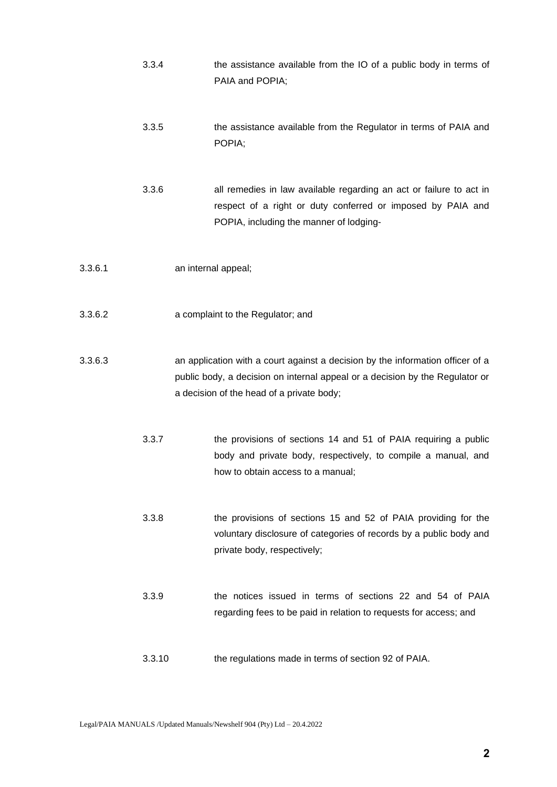|         | 3.3.4  | the assistance available from the IO of a public body in terms of<br>PAIA and POPIA;                                                                                                                        |
|---------|--------|-------------------------------------------------------------------------------------------------------------------------------------------------------------------------------------------------------------|
|         | 3.3.5  | the assistance available from the Regulator in terms of PAIA and<br>POPIA;                                                                                                                                  |
|         | 3.3.6  | all remedies in law available regarding an act or failure to act in<br>respect of a right or duty conferred or imposed by PAIA and<br>POPIA, including the manner of lodging-                               |
| 3.3.6.1 |        | an internal appeal;                                                                                                                                                                                         |
| 3.3.6.2 |        | a complaint to the Regulator; and                                                                                                                                                                           |
| 3.3.6.3 |        | an application with a court against a decision by the information officer of a<br>public body, a decision on internal appeal or a decision by the Regulator or<br>a decision of the head of a private body; |
|         | 3.3.7  | the provisions of sections 14 and 51 of PAIA requiring a public<br>body and private body, respectively, to compile a manual, and<br>how to obtain access to a manual;                                       |
|         | 3.3.8  | the provisions of sections 15 and 52 of PAIA providing for the<br>voluntary disclosure of categories of records by a public body and<br>private body, respectively;                                         |
|         | 3.3.9  | the notices issued in terms of sections 22 and 54 of PAIA<br>regarding fees to be paid in relation to requests for access; and                                                                              |
|         | 3.3.10 | the regulations made in terms of section 92 of PAIA.                                                                                                                                                        |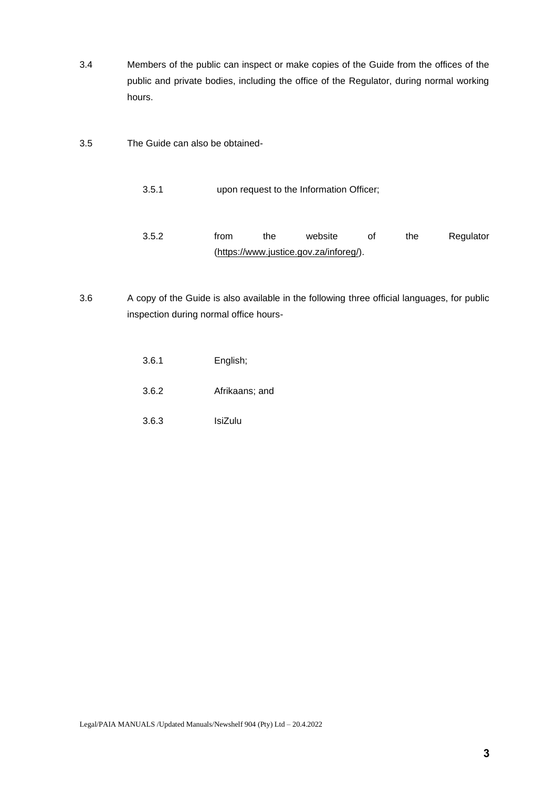- 3.4 Members of the public can inspect or make copies of the Guide from the offices of the public and private bodies, including the office of the Regulator, during normal working hours.
- 3.5 The Guide can also be obtained-
	- 3.5.1 upon request to the Information Officer;
	- 3.5.2 from the website of the Regulator [\(https://www.justice.gov.za/inforeg/\)](https://www.justice.gov.za/inforeg/).
- 3.6 A copy of the Guide is also available in the following three official languages, for public inspection during normal office hours-
	- 3.6.1 English;
	- 3.6.2 Afrikaans; and
	- 3.6.3 IsiZulu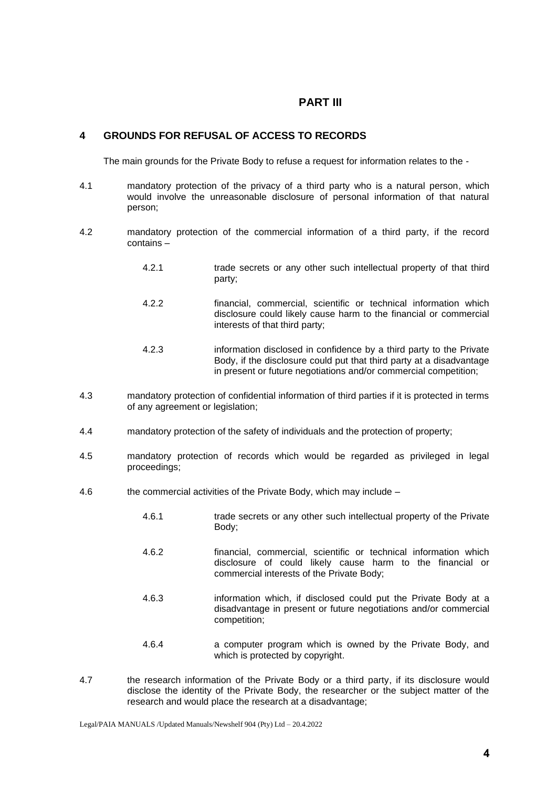## **PART III**

## **4 GROUNDS FOR REFUSAL OF ACCESS TO RECORDS**

The main grounds for the Private Body to refuse a request for information relates to the -

- 4.1 mandatory protection of the privacy of a third party who is a natural person, which would involve the unreasonable disclosure of personal information of that natural person;
- 4.2 mandatory protection of the commercial information of a third party, if the record contains –
	- 4.2.1 trade secrets or any other such intellectual property of that third party;
	- 4.2.2 financial, commercial, scientific or technical information which disclosure could likely cause harm to the financial or commercial interests of that third party;
	- 4.2.3 information disclosed in confidence by a third party to the Private Body, if the disclosure could put that third party at a disadvantage in present or future negotiations and/or commercial competition;
- 4.3 mandatory protection of confidential information of third parties if it is protected in terms of any agreement or legislation;
- 4.4 mandatory protection of the safety of individuals and the protection of property;
- 4.5 mandatory protection of records which would be regarded as privileged in legal proceedings;
- 4.6 the commercial activities of the Private Body, which may include
	- 4.6.1 trade secrets or any other such intellectual property of the Private Body;
	- 4.6.2 financial, commercial, scientific or technical information which disclosure of could likely cause harm to the financial or commercial interests of the Private Body;
	- 4.6.3 information which, if disclosed could put the Private Body at a disadvantage in present or future negotiations and/or commercial competition;
	- 4.6.4 a computer program which is owned by the Private Body, and which is protected by copyright.
- 4.7 the research information of the Private Body or a third party, if its disclosure would disclose the identity of the Private Body, the researcher or the subject matter of the research and would place the research at a disadvantage;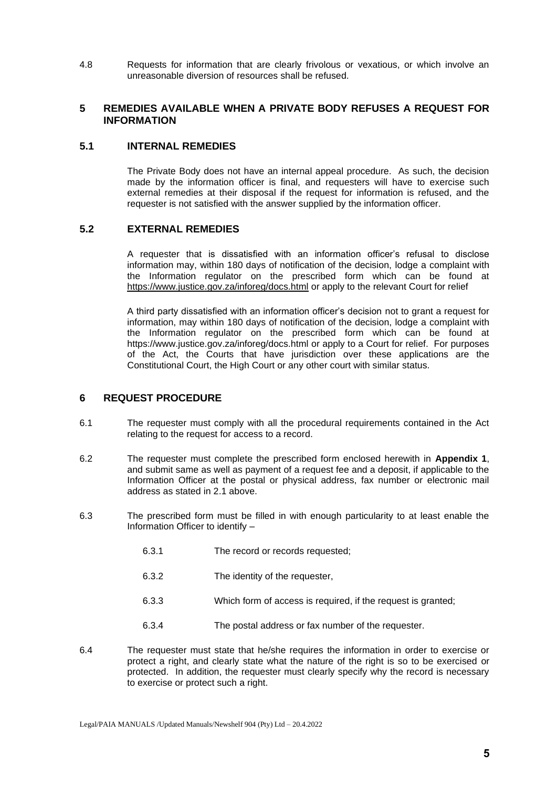4.8 Requests for information that are clearly frivolous or vexatious, or which involve an unreasonable diversion of resources shall be refused.

## **5 REMEDIES AVAILABLE WHEN A PRIVATE BODY REFUSES A REQUEST FOR INFORMATION**

## **5.1 INTERNAL REMEDIES**

The Private Body does not have an internal appeal procedure. As such, the decision made by the information officer is final, and requesters will have to exercise such external remedies at their disposal if the request for information is refused, and the requester is not satisfied with the answer supplied by the information officer.

## **5.2 EXTERNAL REMEDIES**

A requester that is dissatisfied with an information officer's refusal to disclose information may, within 180 days of notification of the decision, lodge a complaint with the Information regulator on the prescribed form which can be found at <https://www.justice.gov.za/inforeg/docs.html> or apply to the relevant Court for relief

A third party dissatisfied with an information officer's decision not to grant a request for information, may within 180 days of notification of the decision, lodge a complaint with the Information regulator on the prescribed form which can be found at https://www.justice.gov.za/inforeg/docs.html or apply to a Court for relief. For purposes of the Act, the Courts that have jurisdiction over these applications are the Constitutional Court, the High Court or any other court with similar status.

## **6 REQUEST PROCEDURE**

- 6.1 The requester must comply with all the procedural requirements contained in the Act relating to the request for access to a record.
- 6.2 The requester must complete the prescribed form enclosed herewith in **Appendix 1**, and submit same as well as payment of a request fee and a deposit, if applicable to the Information Officer at the postal or physical address, fax number or electronic mail address as stated in 2.1 above.
- 6.3 The prescribed form must be filled in with enough particularity to at least enable the Information Officer to identify –
	- 6.3.1 The record or records requested;
	- 6.3.2 The identity of the requester,
	- 6.3.3 Which form of access is required, if the request is granted;
	- 6.3.4 The postal address or fax number of the requester.
- 6.4 The requester must state that he/she requires the information in order to exercise or protect a right, and clearly state what the nature of the right is so to be exercised or protected. In addition, the requester must clearly specify why the record is necessary to exercise or protect such a right.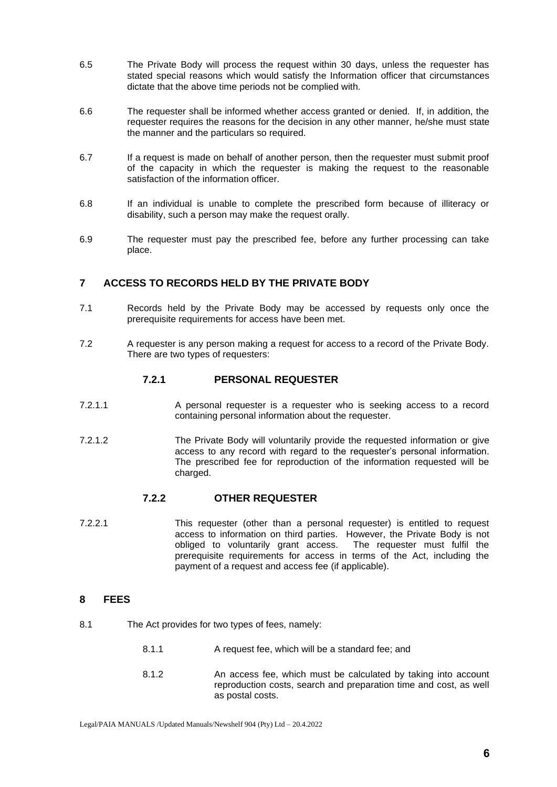- 6.5 The Private Body will process the request within 30 days, unless the requester has stated special reasons which would satisfy the Information officer that circumstances dictate that the above time periods not be complied with.
- 6.6 The requester shall be informed whether access granted or denied. If, in addition, the requester requires the reasons for the decision in any other manner, he/she must state the manner and the particulars so required.
- 6.7 If a request is made on behalf of another person, then the requester must submit proof of the capacity in which the requester is making the request to the reasonable satisfaction of the information officer.
- 6.8 If an individual is unable to complete the prescribed form because of illiteracy or disability, such a person may make the request orally.
- 6.9 The requester must pay the prescribed fee, before any further processing can take place.

## **7 ACCESS TO RECORDS HELD BY THE PRIVATE BODY**

- 7.1 Records held by the Private Body may be accessed by requests only once the prerequisite requirements for access have been met.
- 7.2 A requester is any person making a request for access to a record of the Private Body. There are two types of requesters:

## **7.2.1 PERSONAL REQUESTER**

- 7.2.1.1 A personal requester is a requester who is seeking access to a record containing personal information about the requester.
- 7.2.1.2 The Private Body will voluntarily provide the requested information or give access to any record with regard to the requester's personal information. The prescribed fee for reproduction of the information requested will be charged.

## **7.2.2 OTHER REQUESTER**

7.2.2.1 This requester (other than a personal requester) is entitled to request access to information on third parties. However, the Private Body is not obliged to voluntarily grant access. The requester must fulfil the prerequisite requirements for access in terms of the Act, including the payment of a request and access fee (if applicable).

## **8 FEES**

- 8.1 The Act provides for two types of fees, namely:
	- 8.1.1 A request fee, which will be a standard fee; and
	- 8.1.2 An access fee, which must be calculated by taking into account reproduction costs, search and preparation time and cost, as well as postal costs.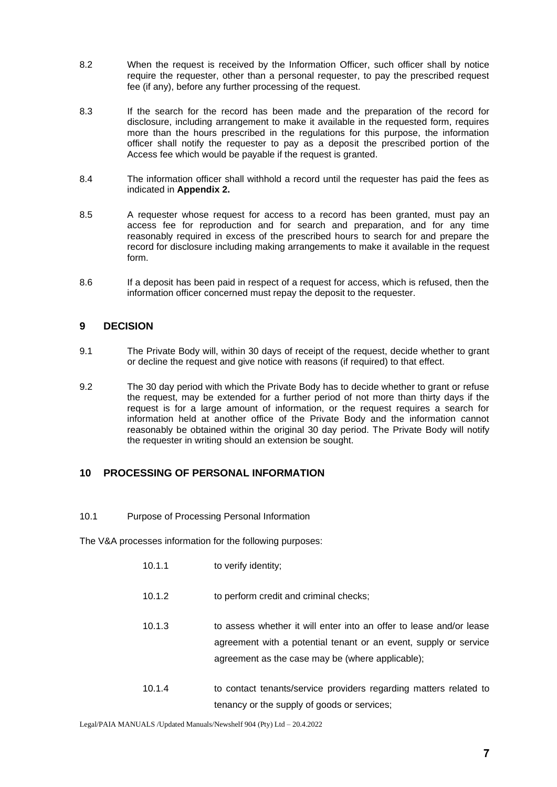- 8.2 When the request is received by the Information Officer, such officer shall by notice require the requester, other than a personal requester, to pay the prescribed request fee (if any), before any further processing of the request.
- 8.3 If the search for the record has been made and the preparation of the record for disclosure, including arrangement to make it available in the requested form, requires more than the hours prescribed in the regulations for this purpose, the information officer shall notify the requester to pay as a deposit the prescribed portion of the Access fee which would be payable if the request is granted.
- 8.4 The information officer shall withhold a record until the requester has paid the fees as indicated in **Appendix 2.**
- 8.5 A requester whose request for access to a record has been granted, must pay an access fee for reproduction and for search and preparation, and for any time reasonably required in excess of the prescribed hours to search for and prepare the record for disclosure including making arrangements to make it available in the request form.
- 8.6 If a deposit has been paid in respect of a request for access, which is refused, then the information officer concerned must repay the deposit to the requester.

## **9 DECISION**

- 9.1 The Private Body will, within 30 days of receipt of the request, decide whether to grant or decline the request and give notice with reasons (if required) to that effect.
- 9.2 The 30 day period with which the Private Body has to decide whether to grant or refuse the request, may be extended for a further period of not more than thirty days if the request is for a large amount of information, or the request requires a search for information held at another office of the Private Body and the information cannot reasonably be obtained within the original 30 day period. The Private Body will notify the requester in writing should an extension be sought.

## **10 PROCESSING OF PERSONAL INFORMATION**

10.1 Purpose of Processing Personal Information

The V&A processes information for the following purposes:

- 10.1.1 to verify identity;
- 10.1.2 to perform credit and criminal checks;
- 10.1.3 to assess whether it will enter into an offer to lease and/or lease agreement with a potential tenant or an event, supply or service agreement as the case may be (where applicable);
- 10.1.4 to contact tenants/service providers regarding matters related to tenancy or the supply of goods or services;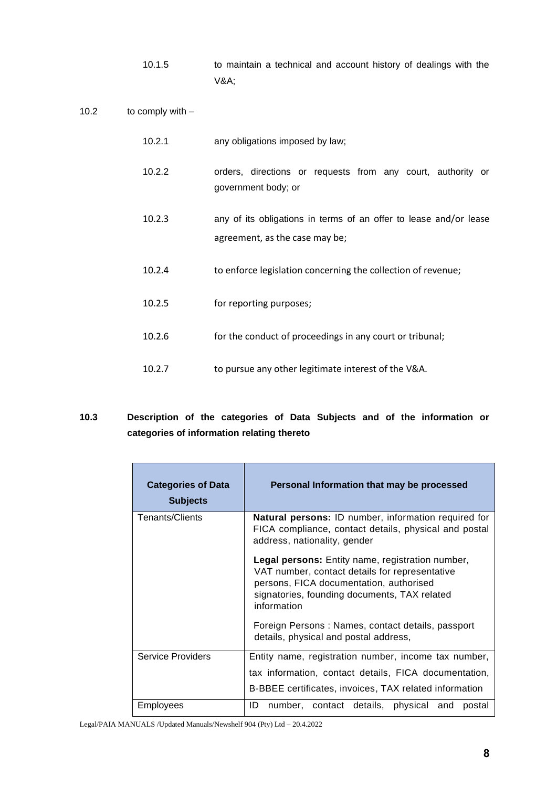- 10.1.5 to maintain a technical and account history of dealings with the V&A;
- 10.2 to comply with –

| 10.2.1 | any obligations imposed by law;                                                                     |  |  |  |  |  |  |  |  |
|--------|-----------------------------------------------------------------------------------------------------|--|--|--|--|--|--|--|--|
| 10.2.2 | orders, directions or requests from any court, authority or<br>government body; or                  |  |  |  |  |  |  |  |  |
| 10.2.3 | any of its obligations in terms of an offer to lease and/or lease<br>agreement, as the case may be; |  |  |  |  |  |  |  |  |
| 10.2.4 | to enforce legislation concerning the collection of revenue;                                        |  |  |  |  |  |  |  |  |
| 10.2.5 | for reporting purposes;                                                                             |  |  |  |  |  |  |  |  |
| 10.2.6 | for the conduct of proceedings in any court or tribunal;                                            |  |  |  |  |  |  |  |  |
| 10.2.7 | to pursue any other legitimate interest of the V&A.                                                 |  |  |  |  |  |  |  |  |

# **10.3 Description of the categories of Data Subjects and of the information or categories of information relating thereto**

| <b>Categories of Data</b><br><b>Subjects</b> | Personal Information that may be processed                                                                                                                                                                          |
|----------------------------------------------|---------------------------------------------------------------------------------------------------------------------------------------------------------------------------------------------------------------------|
| Tenants/Clients                              | <b>Natural persons:</b> ID number, information required for<br>FICA compliance, contact details, physical and postal<br>address, nationality, gender                                                                |
|                                              | <b>Legal persons:</b> Entity name, registration number,<br>VAT number, contact details for representative<br>persons, FICA documentation, authorised<br>signatories, founding documents, TAX related<br>information |
|                                              | Foreign Persons: Names, contact details, passport<br>details, physical and postal address,                                                                                                                          |
| <b>Service Providers</b>                     | Entity name, registration number, income tax number,                                                                                                                                                                |
|                                              | tax information, contact details, FICA documentation,                                                                                                                                                               |
|                                              | B-BBEE certificates, invoices, TAX related information                                                                                                                                                              |
| Employees                                    | ID<br>number, contact details, physical and<br>postal                                                                                                                                                               |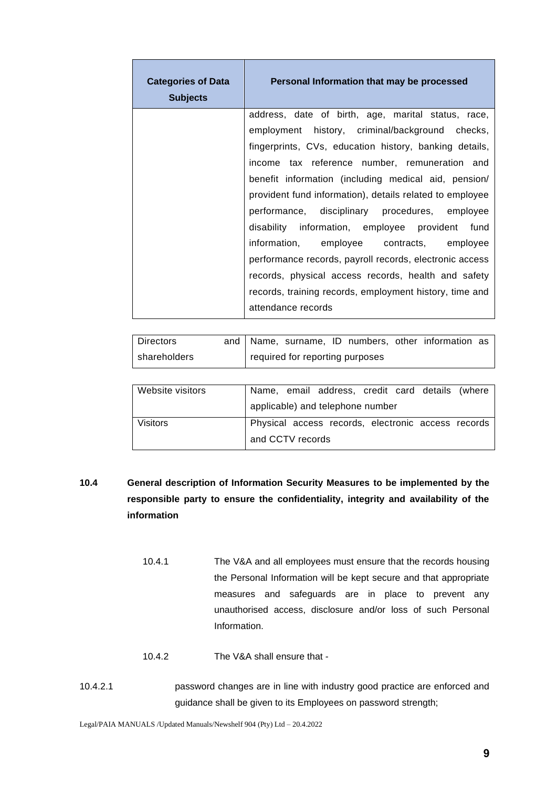| <b>Categories of Data</b><br><b>Subjects</b> | Personal Information that may be processed               |
|----------------------------------------------|----------------------------------------------------------|
|                                              | address, date of birth, age, marital status, race,       |
|                                              | employment history, criminal/background checks,          |
|                                              | fingerprints, CVs, education history, banking details,   |
|                                              | income tax reference number, remuneration and            |
|                                              | benefit information (including medical aid, pension/     |
|                                              | provident fund information), details related to employee |
|                                              | performance, disciplinary procedures, employee           |
|                                              | disability information, employee provident fund          |
|                                              | information, employee contracts, employee                |
|                                              | performance records, payroll records, electronic access  |
|                                              | records, physical access records, health and safety      |
|                                              | records, training records, employment history, time and  |
|                                              | attendance records                                       |

| <b>Directors</b> |  |  |                                   | and   Name, surname, ID numbers, other information as |  |
|------------------|--|--|-----------------------------------|-------------------------------------------------------|--|
| shareholders     |  |  | I required for reporting purposes |                                                       |  |
|                  |  |  |                                   |                                                       |  |

| Website visitors |                  | Name, email address, credit card details (where    |  |  |
|------------------|------------------|----------------------------------------------------|--|--|
|                  |                  | applicable) and telephone number                   |  |  |
| <b>Visitors</b>  |                  | Physical access records, electronic access records |  |  |
|                  | and CCTV records |                                                    |  |  |

# **10.4 General description of Information Security Measures to be implemented by the responsible party to ensure the confidentiality, integrity and availability of the information**

- 10.4.1 The V&A and all employees must ensure that the records housing the Personal Information will be kept secure and that appropriate measures and safeguards are in place to prevent any unauthorised access, disclosure and/or loss of such Personal Information.
- 10.4.2 The V&A shall ensure that -
- 10.4.2.1 password changes are in line with industry good practice are enforced and guidance shall be given to its Employees on password strength;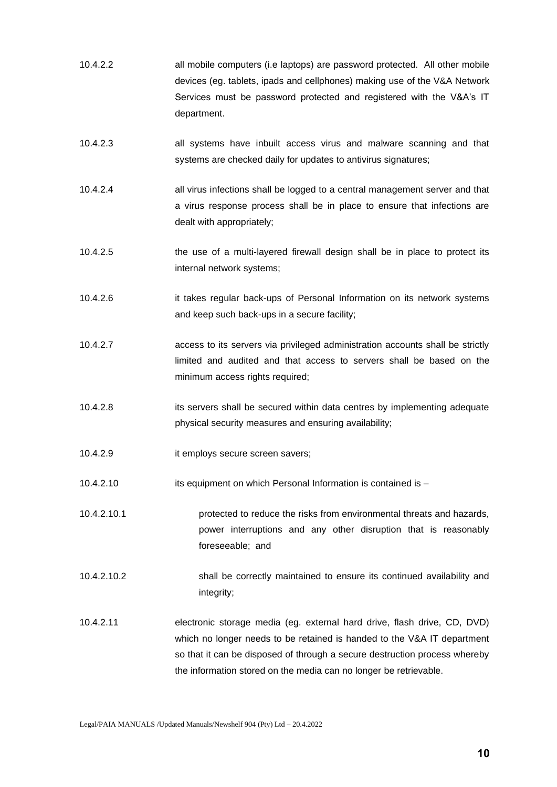- 10.4.2.2 all mobile computers (i.e laptops) are password protected. All other mobile devices (eg. tablets, ipads and cellphones) making use of the V&A Network Services must be password protected and registered with the V&A's IT department.
- 10.4.2.3 all systems have inbuilt access virus and malware scanning and that systems are checked daily for updates to antivirus signatures;
- 10.4.2.4 all virus infections shall be logged to a central management server and that a virus response process shall be in place to ensure that infections are dealt with appropriately;
- 10.4.2.5 the use of a multi-layered firewall design shall be in place to protect its internal network systems;
- 10.4.2.6 it takes regular back-ups of Personal Information on its network systems and keep such back-ups in a secure facility;
- 10.4.2.7 access to its servers via privileged administration accounts shall be strictly limited and audited and that access to servers shall be based on the minimum access rights required;
- 10.4.2.8 its servers shall be secured within data centres by implementing adequate physical security measures and ensuring availability;
- 10.4.2.9 it employs secure screen savers;
- 10.4.2.10 its equipment on which Personal Information is contained is –
- 10.4.2.10.1 protected to reduce the risks from environmental threats and hazards, power interruptions and any other disruption that is reasonably foreseeable; and
- 10.4.2.10.2 shall be correctly maintained to ensure its continued availability and integrity;
- 10.4.2.11 electronic storage media (eg. external hard drive, flash drive, CD, DVD) which no longer needs to be retained is handed to the V&A IT department so that it can be disposed of through a secure destruction process whereby the information stored on the media can no longer be retrievable.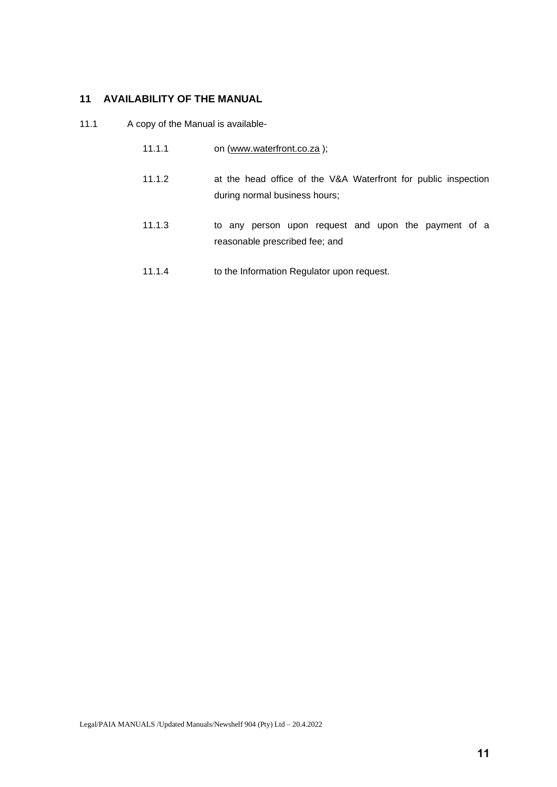# **11 AVAILABILITY OF THE MANUAL**

11.1 A copy of the Manual is available-

- 11.1.1 on [\(www.waterfront.co.za](http://www.waterfront.co.za/));
- 11.1.2 at the head office of the V&A Waterfront for public inspection during normal business hours;
- 11.1.3 to any person upon request and upon the payment of a reasonable prescribed fee; and
- 11.1.4 to the Information Regulator upon request.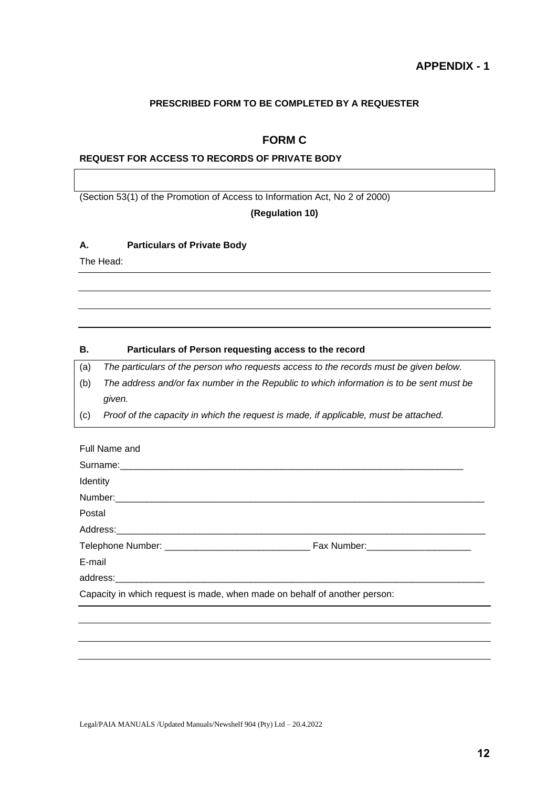## **PRESCRIBED FORM TO BE COMPLETED BY A REQUESTER**

# **FORM C**

## **REQUEST FOR ACCESS TO RECORDS OF PRIVATE BODY**

(Section 53(1) of the Promotion of Access to Information Act, No 2 of 2000)

## **(Regulation 10)**

#### **A. Particulars of Private Body**

The Head:

#### **B. Particulars of Person requesting access to the record**

(a) *The particulars of the person who requests access to the records must be given below.*

- (b) *The address and/or fax number in the Republic to which information is to be sent must be given.*
- (c) *Proof of the capacity in which the request is made, if applicable, must be attached.*

| Full Name and                                                             |  |  |  |  |  |
|---------------------------------------------------------------------------|--|--|--|--|--|
|                                                                           |  |  |  |  |  |
| Identity                                                                  |  |  |  |  |  |
|                                                                           |  |  |  |  |  |
| Postal                                                                    |  |  |  |  |  |
|                                                                           |  |  |  |  |  |
|                                                                           |  |  |  |  |  |
| E-mail                                                                    |  |  |  |  |  |
|                                                                           |  |  |  |  |  |
| Capacity in which request is made, when made on behalf of another person: |  |  |  |  |  |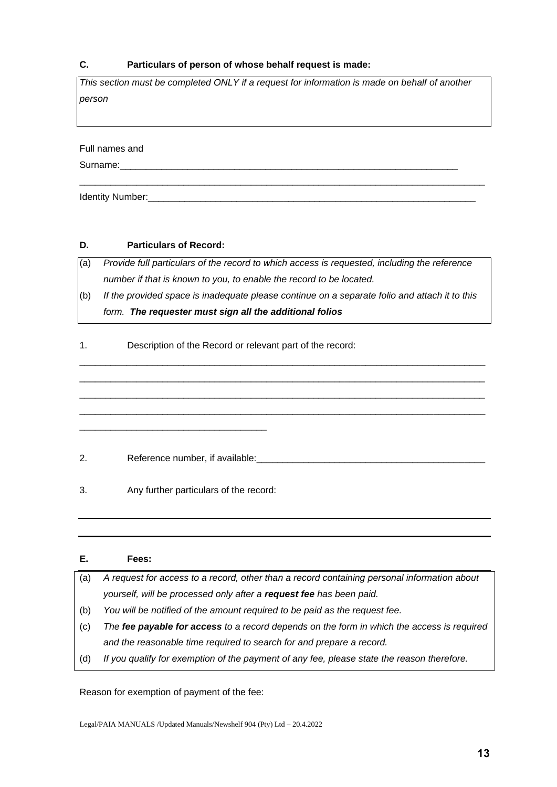## **C. Particulars of person of whose behalf request is made:**

*This section must be completed ONLY if a request for information is made on behalf of another person* 

\_\_\_\_\_\_\_\_\_\_\_\_\_\_\_\_\_\_\_\_\_\_\_\_\_\_\_\_\_\_\_\_\_\_\_\_\_\_\_\_\_\_\_\_\_\_\_\_\_\_\_\_\_\_\_\_\_\_\_\_\_\_\_\_\_\_\_\_\_\_\_\_\_\_\_\_\_\_

Full names and

Surname:

Identity Number:

## **D. Particulars of Record:**

(a) *Provide full particulars of the record to which access is requested, including the reference number if that is known to you, to enable the record to be located.*

(b) *If the provided space is inadequate please continue on a separate folio and attach it to this form. The requester must sign all the additional folios*

\_\_\_\_\_\_\_\_\_\_\_\_\_\_\_\_\_\_\_\_\_\_\_\_\_\_\_\_\_\_\_\_\_\_\_\_\_\_\_\_\_\_\_\_\_\_\_\_\_\_\_\_\_\_\_\_\_\_\_\_\_\_\_\_\_\_\_\_\_\_\_\_\_\_\_\_\_\_ \_\_\_\_\_\_\_\_\_\_\_\_\_\_\_\_\_\_\_\_\_\_\_\_\_\_\_\_\_\_\_\_\_\_\_\_\_\_\_\_\_\_\_\_\_\_\_\_\_\_\_\_\_\_\_\_\_\_\_\_\_\_\_\_\_\_\_\_\_\_\_\_\_\_\_\_\_\_ \_\_\_\_\_\_\_\_\_\_\_\_\_\_\_\_\_\_\_\_\_\_\_\_\_\_\_\_\_\_\_\_\_\_\_\_\_\_\_\_\_\_\_\_\_\_\_\_\_\_\_\_\_\_\_\_\_\_\_\_\_\_\_\_\_\_\_\_\_\_\_\_\_\_\_\_\_\_ \_\_\_\_\_\_\_\_\_\_\_\_\_\_\_\_\_\_\_\_\_\_\_\_\_\_\_\_\_\_\_\_\_\_\_\_\_\_\_\_\_\_\_\_\_\_\_\_\_\_\_\_\_\_\_\_\_\_\_\_\_\_\_\_\_\_\_\_\_\_\_\_\_\_\_\_\_\_

1. Description of the Record or relevant part of the record:

2. Reference number, if available:

3. Any further particulars of the record:

\_\_\_\_\_\_\_\_\_\_\_\_\_\_\_\_\_\_\_\_\_\_\_\_\_\_\_\_\_\_\_\_\_\_\_\_

| Е.  | Fees:                                                                                       |
|-----|---------------------------------------------------------------------------------------------|
| (a) | A request for access to a record, other than a record containing personal information about |
|     | yourself, will be processed only after a request fee has been paid.                         |
| (b) | You will be notified of the amount required to be paid as the request fee.                  |
| (c) | The fee payable for access to a record depends on the form in which the access is required  |
|     | and the reasonable time required to search for and prepare a record.                        |
| (d) | If you qualify for exemption of the payment of any fee, please state the reason therefore.  |

Reason for exemption of payment of the fee: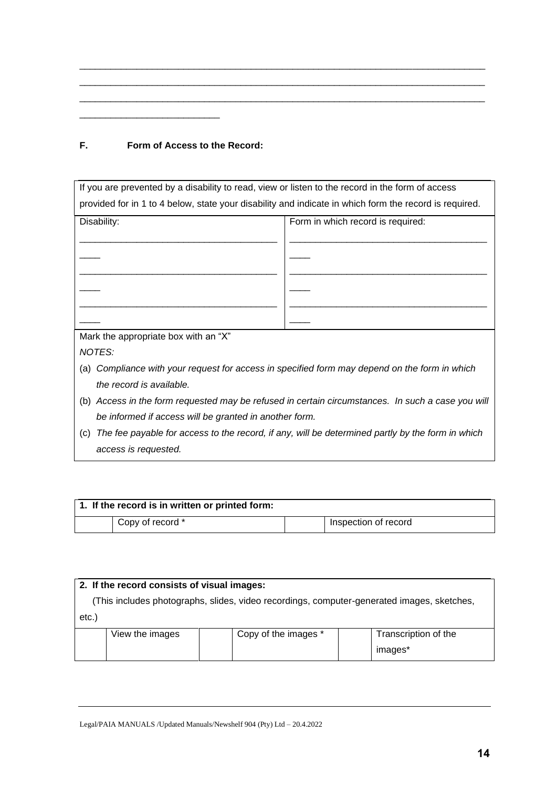| F. |  |  | Form of Access to the Record: |
|----|--|--|-------------------------------|
|    |  |  |                               |

\_\_\_\_\_\_\_\_\_\_\_\_\_\_\_\_\_\_\_\_\_\_\_\_\_\_\_

| If you are prevented by a disability to read, view or listen to the record in the form of access        |                                                                                           |  |  |  |  |  |
|---------------------------------------------------------------------------------------------------------|-------------------------------------------------------------------------------------------|--|--|--|--|--|
| provided for in 1 to 4 below, state your disability and indicate in which form the record is required.  |                                                                                           |  |  |  |  |  |
| Disability:                                                                                             | Form in which record is required:                                                         |  |  |  |  |  |
|                                                                                                         |                                                                                           |  |  |  |  |  |
|                                                                                                         |                                                                                           |  |  |  |  |  |
|                                                                                                         |                                                                                           |  |  |  |  |  |
|                                                                                                         |                                                                                           |  |  |  |  |  |
|                                                                                                         |                                                                                           |  |  |  |  |  |
|                                                                                                         |                                                                                           |  |  |  |  |  |
| Mark the appropriate box with an "X"                                                                    |                                                                                           |  |  |  |  |  |
| NOTES:                                                                                                  |                                                                                           |  |  |  |  |  |
| (a)                                                                                                     | Compliance with your request for access in specified form may depend on the form in which |  |  |  |  |  |
| the record is available.                                                                                |                                                                                           |  |  |  |  |  |
| Access in the form requested may be refused in certain circumstances. In such a case you will<br>(b)    |                                                                                           |  |  |  |  |  |
| be informed if access will be granted in another form.                                                  |                                                                                           |  |  |  |  |  |
| The fee payable for access to the record, if any, will be determined partly by the form in which<br>(c) |                                                                                           |  |  |  |  |  |
| access is requested.                                                                                    |                                                                                           |  |  |  |  |  |
|                                                                                                         |                                                                                           |  |  |  |  |  |

\_\_\_\_\_\_\_\_\_\_\_\_\_\_\_\_\_\_\_\_\_\_\_\_\_\_\_\_\_\_\_\_\_\_\_\_\_\_\_\_\_\_\_\_\_\_\_\_\_\_\_\_\_\_\_\_\_\_\_\_\_\_\_\_\_\_\_\_\_\_\_\_\_\_\_\_\_\_ \_\_\_\_\_\_\_\_\_\_\_\_\_\_\_\_\_\_\_\_\_\_\_\_\_\_\_\_\_\_\_\_\_\_\_\_\_\_\_\_\_\_\_\_\_\_\_\_\_\_\_\_\_\_\_\_\_\_\_\_\_\_\_\_\_\_\_\_\_\_\_\_\_\_\_\_\_\_ \_\_\_\_\_\_\_\_\_\_\_\_\_\_\_\_\_\_\_\_\_\_\_\_\_\_\_\_\_\_\_\_\_\_\_\_\_\_\_\_\_\_\_\_\_\_\_\_\_\_\_\_\_\_\_\_\_\_\_\_\_\_\_\_\_\_\_\_\_\_\_\_\_\_\_\_\_\_

| 1. If the record is in written or printed form: |                  |  |                      |  |  |  |
|-------------------------------------------------|------------------|--|----------------------|--|--|--|
|                                                 | Copy of record * |  | Inspection of record |  |  |  |

| 2. If the record consists of visual images:                                                |                 |  |                      |  |                      |
|--------------------------------------------------------------------------------------------|-----------------|--|----------------------|--|----------------------|
| (This includes photographs, slides, video recordings, computer-generated images, sketches, |                 |  |                      |  |                      |
| $etc.$ )                                                                                   |                 |  |                      |  |                      |
|                                                                                            | View the images |  | Copy of the images * |  | Transcription of the |
|                                                                                            |                 |  |                      |  | images*              |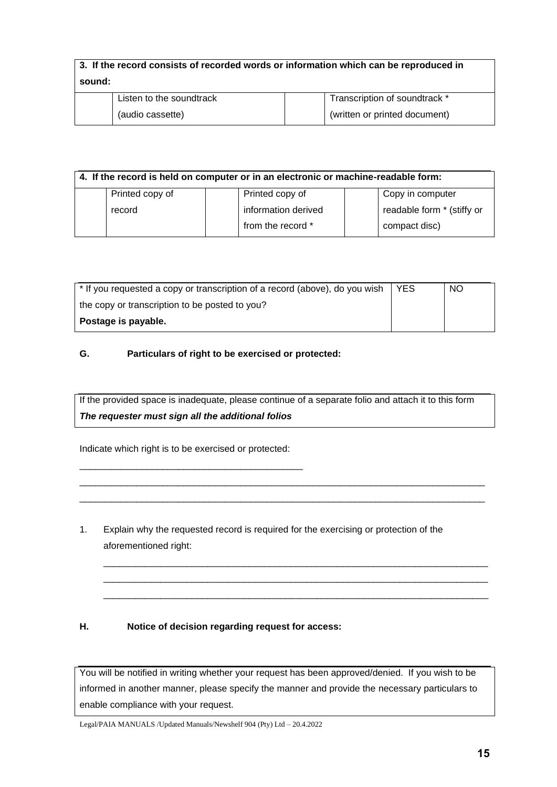| 3. If the record consists of recorded words or information which can be reproduced in |                          |                               |  |  |
|---------------------------------------------------------------------------------------|--------------------------|-------------------------------|--|--|
| sound:                                                                                |                          |                               |  |  |
|                                                                                       | Listen to the soundtrack | Transcription of soundtrack * |  |  |
|                                                                                       | (audio cassette)         | (written or printed document) |  |  |

| 4. If the record is held on computer or in an electronic or machine-readable form: |                 |  |                     |  |                            |
|------------------------------------------------------------------------------------|-----------------|--|---------------------|--|----------------------------|
|                                                                                    | Printed copy of |  | Printed copy of     |  | Copy in computer           |
|                                                                                    | record          |  | information derived |  | readable form * (stiffy or |
|                                                                                    |                 |  | from the record *   |  | compact disc)              |

| * If you requested a copy or transcription of a record (above), do you wish | <b>YES</b> | <b>NO</b> |
|-----------------------------------------------------------------------------|------------|-----------|
| the copy or transcription to be posted to you?                              |            |           |
| Postage is payable.                                                         |            |           |

## **G. Particulars of right to be exercised or protected:**

If the provided space is inadequate, please continue of a separate folio and attach it to this form *The requester must sign all the additional folios*

\_\_\_\_\_\_\_\_\_\_\_\_\_\_\_\_\_\_\_\_\_\_\_\_\_\_\_\_\_\_\_\_\_\_\_\_\_\_\_\_\_\_\_\_\_\_\_\_\_\_\_\_\_\_\_\_\_\_\_\_\_\_\_\_\_\_\_\_\_\_\_\_\_\_\_\_\_\_ \_\_\_\_\_\_\_\_\_\_\_\_\_\_\_\_\_\_\_\_\_\_\_\_\_\_\_\_\_\_\_\_\_\_\_\_\_\_\_\_\_\_\_\_\_\_\_\_\_\_\_\_\_\_\_\_\_\_\_\_\_\_\_\_\_\_\_\_\_\_\_\_\_\_\_\_\_\_

\_\_\_\_\_\_\_\_\_\_\_\_\_\_\_\_\_\_\_\_\_\_\_\_\_\_\_\_\_\_\_\_\_\_\_\_\_\_\_\_\_\_\_\_\_\_\_\_\_\_\_\_\_\_\_\_\_\_\_\_\_\_\_\_\_\_\_\_\_\_\_\_\_\_ \_\_\_\_\_\_\_\_\_\_\_\_\_\_\_\_\_\_\_\_\_\_\_\_\_\_\_\_\_\_\_\_\_\_\_\_\_\_\_\_\_\_\_\_\_\_\_\_\_\_\_\_\_\_\_\_\_\_\_\_\_\_\_\_\_\_\_\_\_\_\_\_\_\_ \_\_\_\_\_\_\_\_\_\_\_\_\_\_\_\_\_\_\_\_\_\_\_\_\_\_\_\_\_\_\_\_\_\_\_\_\_\_\_\_\_\_\_\_\_\_\_\_\_\_\_\_\_\_\_\_\_\_\_\_\_\_\_\_\_\_\_\_\_\_\_\_\_\_

Indicate which right is to be exercised or protected:

\_\_\_\_\_\_\_\_\_\_\_\_\_\_\_\_\_\_\_\_\_\_\_\_\_\_\_\_\_\_\_\_\_\_\_\_\_\_\_\_\_\_\_

1. Explain why the requested record is required for the exercising or protection of the aforementioned right:

## **H. Notice of decision regarding request for access:**

You will be notified in writing whether your request has been approved/denied. If you wish to be informed in another manner, please specify the manner and provide the necessary particulars to enable compliance with your request.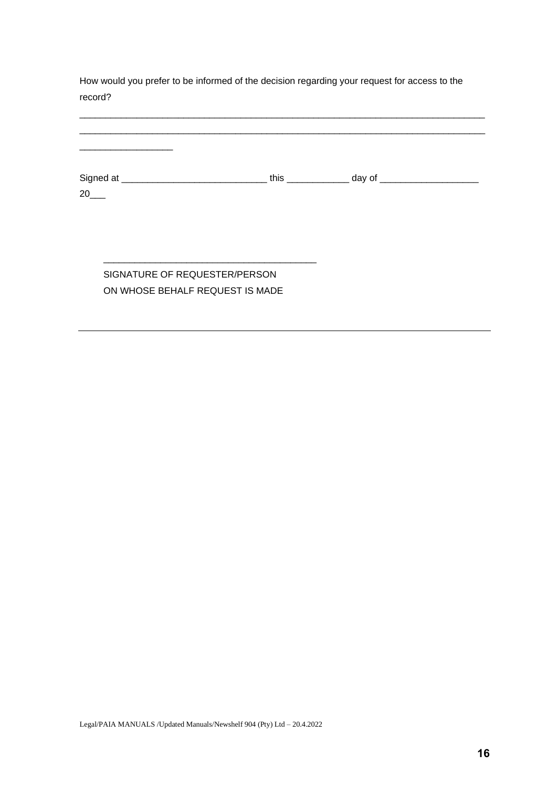How would you prefer to be informed of the decision regarding your request for access to the record?

| 20 | this $\frac{1}{2}$ | day of $\_\_$ |
|----|--------------------|---------------|
|    |                    |               |

\_\_\_\_\_\_\_\_\_\_\_\_\_\_\_\_\_\_\_\_\_\_\_\_\_\_\_\_\_\_\_\_\_\_\_\_\_\_\_\_\_\_\_\_\_\_\_\_\_\_\_\_\_\_\_\_\_\_\_\_\_\_\_\_\_\_\_\_\_\_\_\_\_\_\_\_\_\_

# SIGNATURE OF REQUESTER/PERSON ON WHOSE BEHALF REQUEST IS MADE

\_\_\_\_\_\_\_\_\_\_\_\_\_\_\_\_\_\_\_\_\_\_\_\_\_\_\_\_\_\_\_\_\_\_\_\_\_\_\_\_\_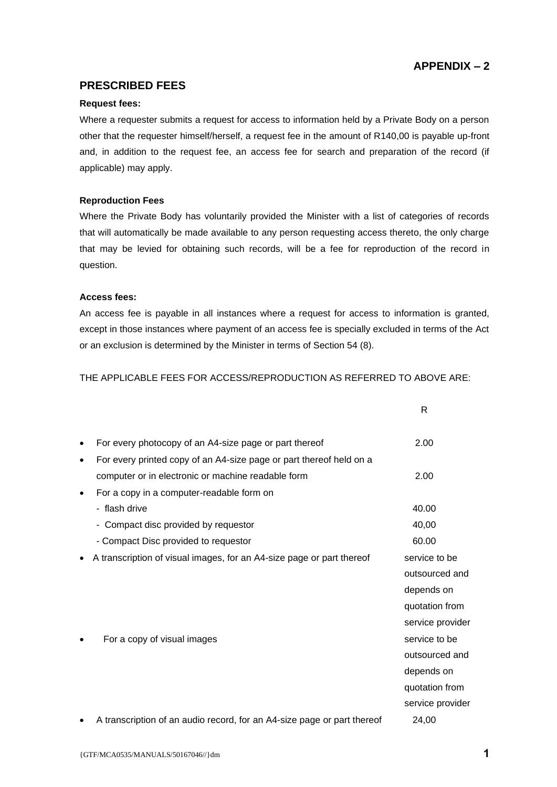# **APPENDIX – 2**

# **PRESCRIBED FEES**

## **Request fees:**

Where a requester submits a request for access to information held by a Private Body on a person other that the requester himself/herself, a request fee in the amount of R140,00 is payable up-front and, in addition to the request fee, an access fee for search and preparation of the record (if applicable) may apply.

#### **Reproduction Fees**

Where the Private Body has voluntarily provided the Minister with a list of categories of records that will automatically be made available to any person requesting access thereto, the only charge that may be levied for obtaining such records, will be a fee for reproduction of the record in question.

#### **Access fees:**

An access fee is payable in all instances where a request for access to information is granted, except in those instances where payment of an access fee is specially excluded in terms of the Act or an exclusion is determined by the Minister in terms of Section 54 (8).

THE APPLICABLE FEES FOR ACCESS/REPRODUCTION AS REFERRED TO ABOVE ARE:

|           |                                                                         | R                |
|-----------|-------------------------------------------------------------------------|------------------|
|           | For every photocopy of an A4-size page or part thereof                  | 2.00             |
| $\bullet$ | For every printed copy of an A4-size page or part thereof held on a     |                  |
|           | computer or in electronic or machine readable form                      | 2.00             |
|           | For a copy in a computer-readable form on                               |                  |
|           | - flash drive                                                           | 40.00            |
|           | - Compact disc provided by requestor                                    | 40,00            |
|           | - Compact Disc provided to requestor                                    | 60.00            |
|           | A transcription of visual images, for an A4-size page or part thereof   | service to be    |
|           |                                                                         | outsourced and   |
|           |                                                                         | depends on       |
|           |                                                                         | quotation from   |
|           |                                                                         | service provider |
|           | For a copy of visual images                                             | service to be    |
|           |                                                                         | outsourced and   |
|           |                                                                         | depends on       |
|           |                                                                         | quotation from   |
|           |                                                                         | service provider |
|           | A transcription of an audio record, for an A4-size page or part thereof | 24,00            |
|           |                                                                         |                  |